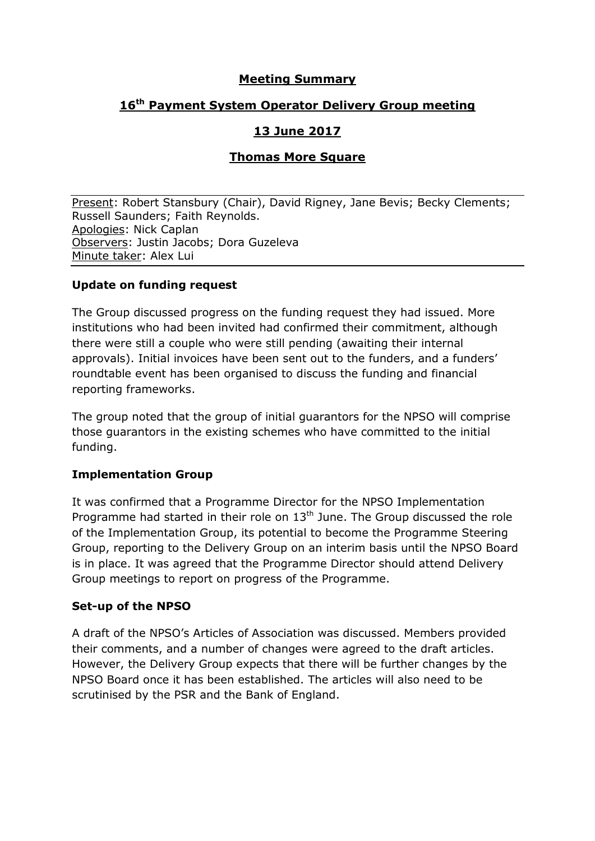## **Meeting Summary**

# **16 th Payment System Operator Delivery Group meeting**

# **13 June 2017**

## **Thomas More Square**

Present: Robert Stansbury (Chair), David Rigney, Jane Bevis; Becky Clements; Russell Saunders; Faith Reynolds. Apologies: Nick Caplan Observers: Justin Jacobs; Dora Guzeleva Minute taker: Alex Lui

#### **Update on funding request**

The Group discussed progress on the funding request they had issued. More institutions who had been invited had confirmed their commitment, although there were still a couple who were still pending (awaiting their internal approvals). Initial invoices have been sent out to the funders, and a funders' roundtable event has been organised to discuss the funding and financial reporting frameworks.

The group noted that the group of initial guarantors for the NPSO will comprise those guarantors in the existing schemes who have committed to the initial funding.

#### **Implementation Group**

It was confirmed that a Programme Director for the NPSO Implementation Programme had started in their role on  $13<sup>th</sup>$  June. The Group discussed the role of the Implementation Group, its potential to become the Programme Steering Group, reporting to the Delivery Group on an interim basis until the NPSO Board is in place. It was agreed that the Programme Director should attend Delivery Group meetings to report on progress of the Programme.

#### **Set-up of the NPSO**

A draft of the NPSO's Articles of Association was discussed. Members provided their comments, and a number of changes were agreed to the draft articles. However, the Delivery Group expects that there will be further changes by the NPSO Board once it has been established. The articles will also need to be scrutinised by the PSR and the Bank of England.